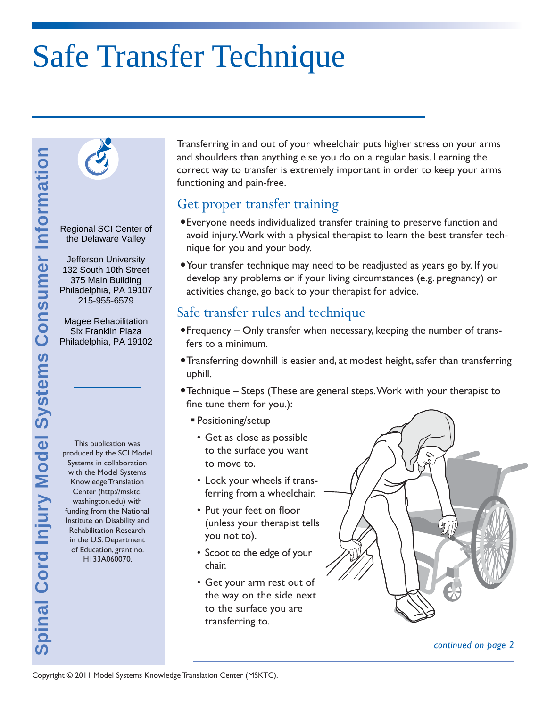# Safe Transfer Technique



Regional SCI Center of the Delaware Valley

Jefferson University 132 South 10th Street 375 Main Building Philadelphia, PA 19107 215-955-6579

Magee Rehabilitation Six Franklin Plaza Philadelphia, PA 19102

**Spinal Cord Injury Model Systems Consumer Information**

pinal Cord Injury Model Systems

**Consumer Information** 

This publication was produced by the SCI Model Systems in collaboration with the Model Systems Knowledge Translation Center (http://msktc. washington.edu) with funding from the National Institute on Disability and Rehabilitation Research in the U.S. Department of Education, grant no. H133A060070.

Transferring in and out of your wheelchair puts higher stress on your arms and shoulders than anything else you do on a regular basis. Learning the correct way to transfer is extremely important in order to keep your arms functioning and pain-free.

#### Get proper transfer training

- Everyone needs individualized transfer training to preserve function and avoid injury. Work with a physical therapist to learn the best transfer technique for you and your body.
- Your transfer technique may need to be readjusted as years go by. If you develop any problems or if your living circumstances (e.g. pregnancy) or activities change, go back to your therapist for advice.

### Safe transfer rules and technique

- Frequency Only transfer when necessary, keeping the number of transfers to a minimum.
- Transferring downhill is easier and, at modest height, safer than transferring uphill.
- Technique Steps (These are general steps. Work with your therapist to fine tune them for you.):
	- Positioning/setup
		- Get as close as possible to the surface you want to move to.
		- Lock your wheels if transferring from a wheelchair.
		- Put your feet on floor (unless your therapist tells you not to).
		- Scoot to the edge of your chair.
		- Get your arm rest out of the way on the side next to the surface you are transferring to.



*continued on page 2*

Copyright © 2011 Model Systems Knowledge Translation Center (MSKTC).